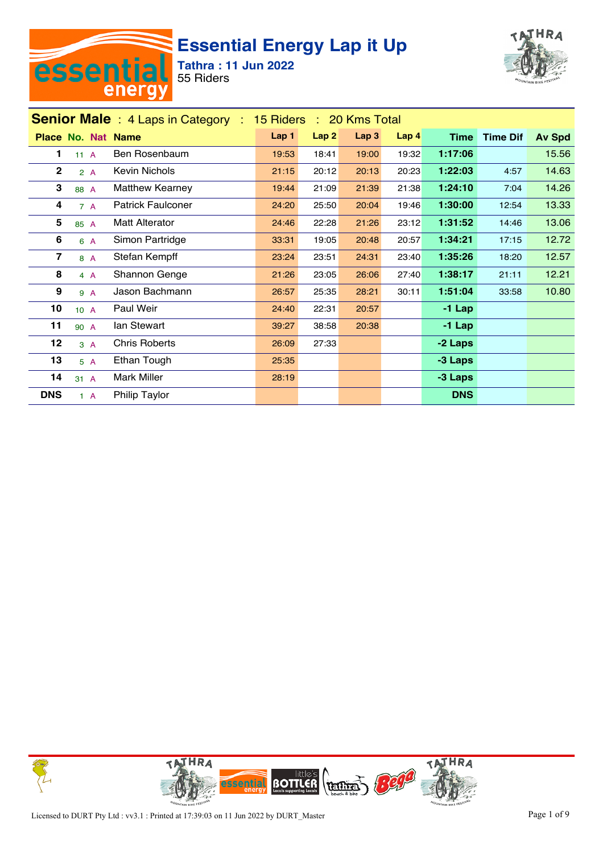



|                  | <b>Senior Male</b> : 4 Laps in Category : 15 Riders : 20 Kms Total |                          |       |       |                  |       |             |                 |               |  |  |  |
|------------------|--------------------------------------------------------------------|--------------------------|-------|-------|------------------|-------|-------------|-----------------|---------------|--|--|--|
|                  | <b>Place No. Nat Name</b>                                          |                          | Lap 1 | Lap2  | Lap <sub>3</sub> | Lap 4 | <b>Time</b> | <b>Time Dif</b> | <b>Av Spd</b> |  |  |  |
| 1                | 11A                                                                | Ben Rosenbaum            | 19:53 | 18:41 | 19:00            | 19:32 | 1:17:06     |                 | 15.56         |  |  |  |
| $\mathbf 2$      | 2A                                                                 | Kevin Nichols            | 21:15 | 20:12 | 20:13            | 20:23 | 1:22:03     | 4:57            | 14.63         |  |  |  |
| 3                | 88 A                                                               | Matthew Kearney          | 19:44 | 21:09 | 21:39            | 21:38 | 1:24:10     | 7:04            | 14.26         |  |  |  |
| 4                | 7A                                                                 | <b>Patrick Faulconer</b> | 24:20 | 25:50 | 20:04            | 19:46 | 1:30:00     | 12:54           | 13.33         |  |  |  |
| 5                | 85 A                                                               | <b>Matt Alterator</b>    | 24:46 | 22:28 | 21:26            | 23:12 | 1:31:52     | 14:46           | 13.06         |  |  |  |
| 6                | 6 A                                                                | Simon Partridge          | 33:31 | 19:05 | 20:48            | 20:57 | 1:34:21     | 17:15           | 12.72         |  |  |  |
| 7                | 8 A                                                                | Stefan Kempff            | 23:24 | 23:51 | 24:31            | 23:40 | 1:35:26     | 18:20           | 12.57         |  |  |  |
| 8                | 4A                                                                 | Shannon Genge            | 21:26 | 23:05 | 26:06            | 27:40 | 1:38:17     | 21:11           | 12.21         |  |  |  |
| $\boldsymbol{9}$ | 9 A                                                                | Jason Bachmann           | 26:57 | 25:35 | 28:21            | 30:11 | 1:51:04     | 33:58           | 10.80         |  |  |  |
| 10               | 10A                                                                | Paul Weir                | 24:40 | 22:31 | 20:57            |       | $-1$ Lap    |                 |               |  |  |  |
| 11               | 90 A                                                               | lan Stewart              | 39:27 | 38:58 | 20:38            |       | $-1$ Lap    |                 |               |  |  |  |
| 12               | 3A                                                                 | <b>Chris Roberts</b>     | 26:09 | 27:33 |                  |       | -2 Laps     |                 |               |  |  |  |
| 13               | 5A                                                                 | Ethan Tough              | 25:35 |       |                  |       | -3 Laps     |                 |               |  |  |  |
| 14               | 31 A                                                               | Mark Miller              | 28:19 |       |                  |       | -3 Laps     |                 |               |  |  |  |
| <b>DNS</b>       | $1 \text{ A}$                                                      | Philip Taylor            |       |       |                  |       | <b>DNS</b>  |                 |               |  |  |  |

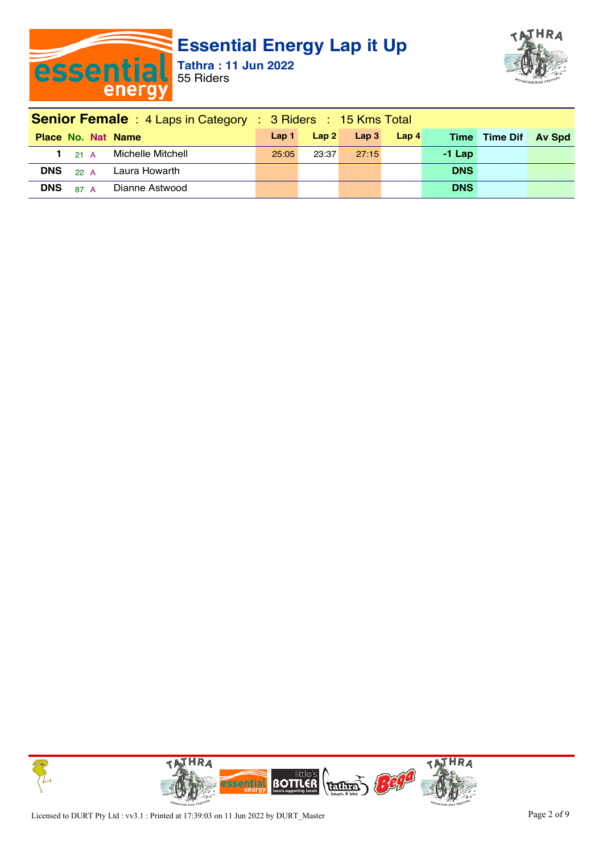



| <b>Senior Female</b> : 4 Laps in Category : 3 Riders : 15 Kms Total |       |       |                      |       |            |                      |  |  |  |
|---------------------------------------------------------------------|-------|-------|----------------------|-------|------------|----------------------|--|--|--|
| <b>Place No. Nat Name</b>                                           |       |       | $Lap1$ $Lap2$ $Lap3$ | Lap 4 |            | Time Time Dif Av Spd |  |  |  |
| 1 <sub>21</sub> A Michelle Mitchell                                 | 25:05 | 23:37 | 27.15                |       | $-1$ Lap   |                      |  |  |  |
| <b>DNS</b><br>22 A Laura Howarth                                    |       |       |                      |       | <b>DNS</b> |                      |  |  |  |
| <b>DNS</b> $_{87}$ A Dianne Astwood                                 |       |       |                      |       | <b>DNS</b> |                      |  |  |  |

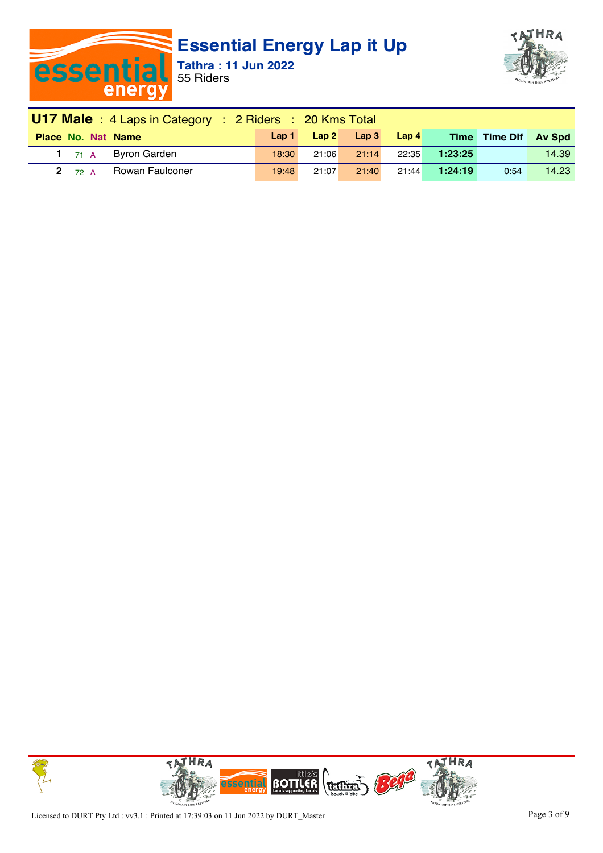



| <b>U17 Male</b> : 4 Laps in Category : 2 Riders : 20 Kms Total |       |       |                                             |       |         |                      |       |  |  |  |
|----------------------------------------------------------------|-------|-------|---------------------------------------------|-------|---------|----------------------|-------|--|--|--|
| <b>Place No. Nat Name</b>                                      | Lap1  |       | $\mathsf{Lap} \, 2 \quad \mathsf{Lap} \, 3$ | Lap4  |         | Time Time Dif Av Spd |       |  |  |  |
| 1 <sub>71</sub> A Byron Garden                                 | 18:30 | 21:06 | 21:14                                       | 22:35 | 1:23:25 |                      | 14.39 |  |  |  |
| Rowan Faulconer<br><b>2</b> $72 A$                             | 19:48 | 21:07 | 21:40                                       | 21:44 | 1:24:19 | 0:54                 | 14.23 |  |  |  |

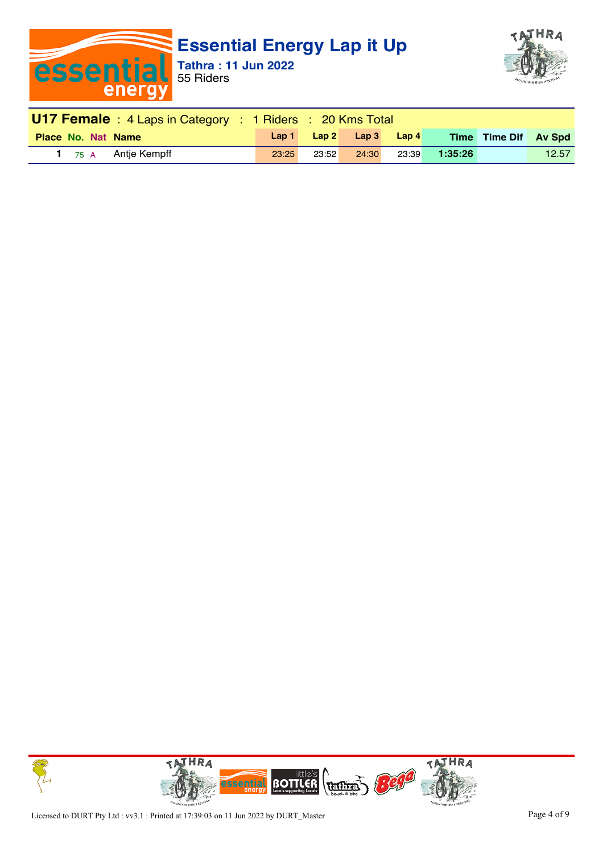



| <b>U17 Female</b> : 4 Laps in Category : 1 Riders : 20 Kms Total |       |       |                                                 |       |               |                      |       |  |
|------------------------------------------------------------------|-------|-------|-------------------------------------------------|-------|---------------|----------------------|-------|--|
| <b>Place No. Nat Name</b>                                        |       |       | $\textsf{Lap1}$ $\textsf{Lap2}$ $\textsf{Lap3}$ | Lap 4 |               | Time Time Dif Av Spd |       |  |
| 1 $_{75}$ A Antje Kempff                                         | 23:25 | 23:52 | 24:30                                           |       | 23:39 1:35:26 |                      | 12.57 |  |

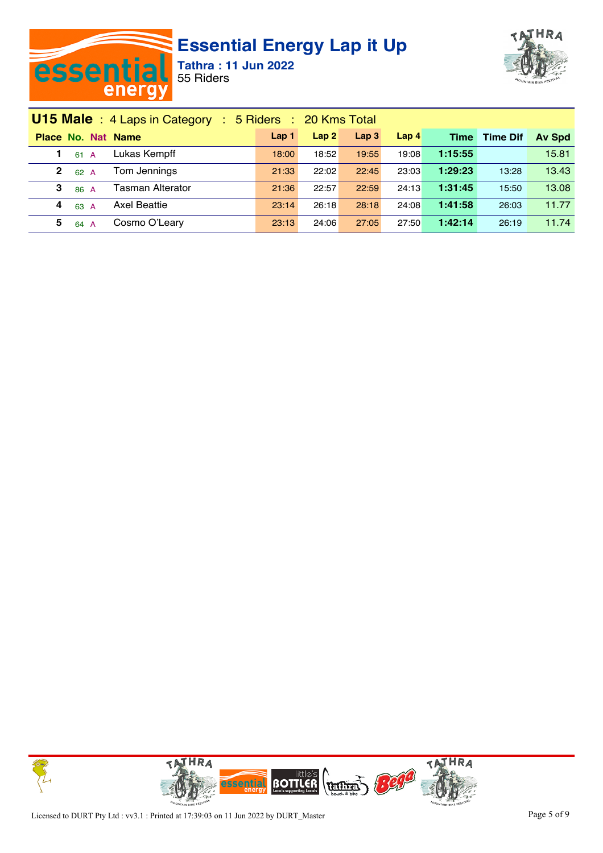



| <b>U15 Male</b> : 4 Laps in Category : 5 Riders : 20 Kms Total |                  |       |                  |                  |             |                 |               |
|----------------------------------------------------------------|------------------|-------|------------------|------------------|-------------|-----------------|---------------|
| Place No. Nat Name                                             | Lap <sub>1</sub> | Lap2  | Lap <sub>3</sub> | Lap <sub>4</sub> | <b>Time</b> | <b>Time Dif</b> | <b>Av Spd</b> |
| Lukas Kempff<br>61 A                                           | 18:00            | 18:52 | 19:55            | 19:08            | 1:15:55     |                 | 15.81         |
| Tom Jennings<br>2<br>62 A                                      | 21:33            | 22:02 | 22:45            | 23:03            | 1:29:23     | 13:28           | 13.43         |
| <b>Tasman Alterator</b><br>3<br>86 A                           | 21:36            | 22:57 | 22:59            | 24:13            | 1:31:45     | 15:50           | 13.08         |
| Axel Beattie<br>4<br>63 A                                      | 23:14            | 26:18 | 28:18            | 24:08            | 1:41:58     | 26:03           | 11.77         |
| Cosmo O'Leary<br>5<br>64 A                                     | 23:13            | 24:06 | 27:05            | 27:50            | 1:42:14     | 26:19           | 11.74         |

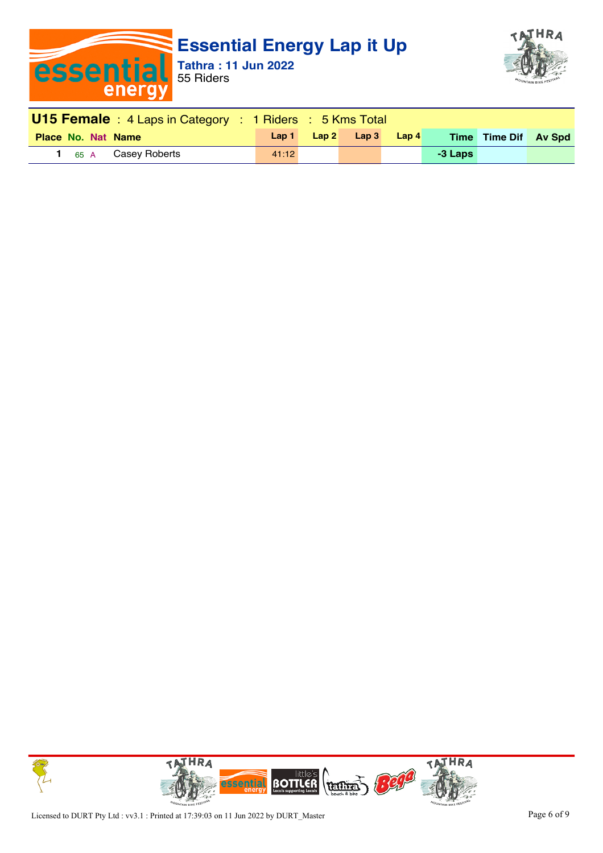



| <b>U15 Female</b> : 4 Laps in Category : 1 Riders : 5 Kms Total |                           |  |                                                           |       |         |                      |  |  |  |
|-----------------------------------------------------------------|---------------------------|--|-----------------------------------------------------------|-------|---------|----------------------|--|--|--|
| <b>Place No. Nat Name</b>                                       | $\lfloor$ Lap 1 $\lfloor$ |  | $\mathsf{L}$ ap $\mathsf{2}$ $\mathsf{L}$ ap $\mathsf{3}$ | Lap 4 |         | Time Time Dif Av Spd |  |  |  |
| 1 <sub>65</sub> A Casey Roberts                                 | 41.12                     |  |                                                           |       | -3 Laps |                      |  |  |  |

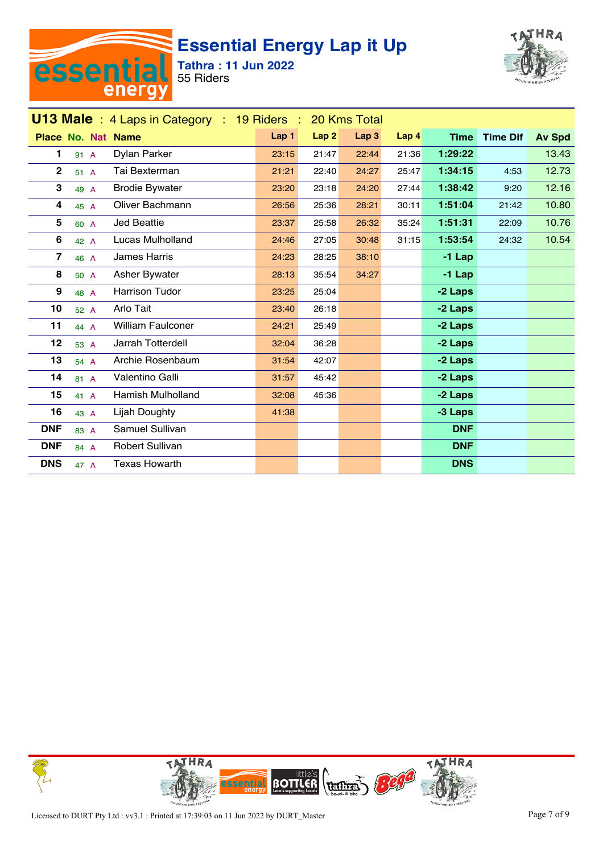



| <b>U13 Male</b> : 4 Laps in Category : 19 Riders :<br>20 Kms Total |                           |                          |       |                  |                  |       |             |                 |               |  |
|--------------------------------------------------------------------|---------------------------|--------------------------|-------|------------------|------------------|-------|-------------|-----------------|---------------|--|
|                                                                    | <b>Place No. Nat Name</b> |                          | Lap 1 | Lap <sub>2</sub> | Lap <sub>3</sub> | Lap 4 | <b>Time</b> | <b>Time Dif</b> | <b>Av Spd</b> |  |
| 1                                                                  | 91 A                      | Dylan Parker             | 23:15 | 21:47            | 22:44            | 21:36 | 1:29:22     |                 | 13.43         |  |
| $\mathbf 2$                                                        | 51 A                      | Tai Bexterman            | 21:21 | 22:40            | 24:27            | 25:47 | 1:34:15     | 4:53            | 12.73         |  |
| 3                                                                  | 49 A                      | <b>Brodie Bywater</b>    | 23:20 | 23:18            | 24:20            | 27:44 | 1:38:42     | 9:20            | 12.16         |  |
| 4                                                                  | 45 A                      | Oliver Bachmann          | 26:56 | 25:36            | 28:21            | 30:11 | 1:51:04     | 21:42           | 10.80         |  |
| 5                                                                  | 60 A                      | Jed Beattie              | 23:37 | 25:58            | 26:32            | 35:24 | 1:51:31     | 22:09           | 10.76         |  |
| 6                                                                  | 42 A                      | Lucas Mulholland         | 24:46 | 27:05            | 30:48            | 31:15 | 1:53:54     | 24:32           | 10.54         |  |
| 7                                                                  | 46 A                      | <b>James Harris</b>      | 24:23 | 28:25            | 38:10            |       | $-1$ Lap    |                 |               |  |
| 8                                                                  | 50 A                      | Asher Bywater            | 28:13 | 35:54            | 34:27            |       | $-1$ Lap    |                 |               |  |
| 9                                                                  | 48 A                      | <b>Harrison Tudor</b>    | 23:25 | 25:04            |                  |       | -2 Laps     |                 |               |  |
| 10                                                                 | 52 A                      | Arlo Tait                | 23:40 | 26:18            |                  |       | -2 Laps     |                 |               |  |
| 11                                                                 | 44 A                      | <b>William Faulconer</b> | 24:21 | 25:49            |                  |       | -2 Laps     |                 |               |  |
| 12                                                                 | 53 A                      | Jarrah Totterdell        | 32:04 | 36:28            |                  |       | -2 Laps     |                 |               |  |
| 13                                                                 | 54 A                      | Archie Rosenbaum         | 31:54 | 42:07            |                  |       | -2 Laps     |                 |               |  |
| 14                                                                 | 81 A                      | Valentino Galli          | 31:57 | 45:42            |                  |       | -2 Laps     |                 |               |  |
| 15                                                                 | 41 A                      | <b>Hamish Mulholland</b> | 32:08 | 45:36            |                  |       | -2 Laps     |                 |               |  |
| 16                                                                 | 43 A                      | Lijah Doughty            | 41:38 |                  |                  |       | -3 Laps     |                 |               |  |
| <b>DNF</b>                                                         | 83 A                      | Samuel Sullivan          |       |                  |                  |       | <b>DNF</b>  |                 |               |  |
| <b>DNF</b>                                                         | 84 A                      | <b>Robert Sullivan</b>   |       |                  |                  |       | <b>DNF</b>  |                 |               |  |
| <b>DNS</b>                                                         | 47 A                      | <b>Texas Howarth</b>     |       |                  |                  |       | <b>DNS</b>  |                 |               |  |

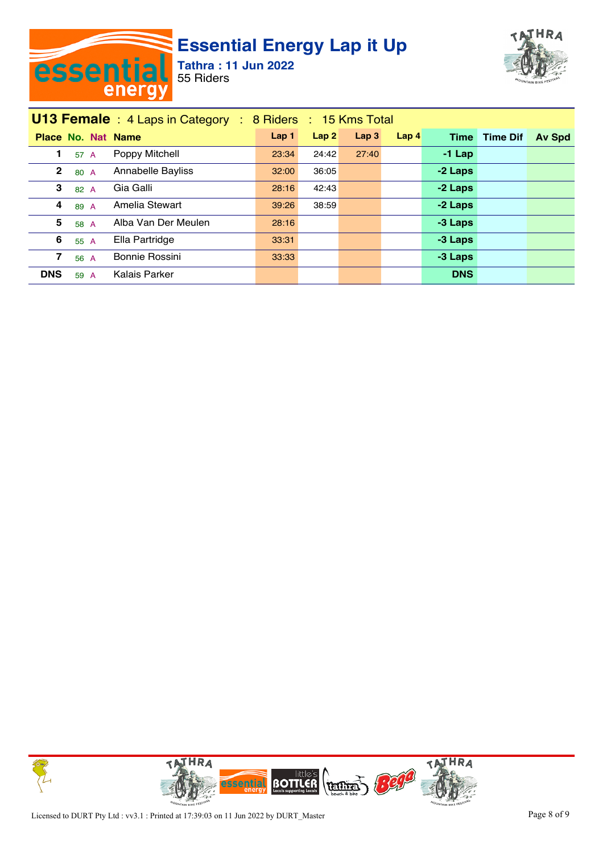



|              | <b>U13 Female</b> : 4 Laps in Category : 8 Riders : 15 Kms Total |  |                           |                  |       |                  |                  |             |                 |               |  |  |
|--------------|------------------------------------------------------------------|--|---------------------------|------------------|-------|------------------|------------------|-------------|-----------------|---------------|--|--|
|              |                                                                  |  | <b>Place No. Nat Name</b> | Lap <sub>1</sub> | Lap2  | Lap <sub>3</sub> | Lap <sub>4</sub> | <b>Time</b> | <b>Time Dif</b> | <b>Av Spd</b> |  |  |
|              | 57 A                                                             |  | Poppy Mitchell            | 23:34            | 24:42 | 27:40            |                  | $-1$ Lap    |                 |               |  |  |
| $\mathbf{2}$ | 80 A                                                             |  | Annabelle Bayliss         | 32:00            | 36:05 |                  |                  | -2 Laps     |                 |               |  |  |
| 3            | 82 A                                                             |  | Gia Galli                 | 28:16            | 42:43 |                  |                  | -2 Laps     |                 |               |  |  |
| 4            | 89 A                                                             |  | Amelia Stewart            | 39:26            | 38:59 |                  |                  | -2 Laps     |                 |               |  |  |
| 5            | 58 A                                                             |  | Alba Van Der Meulen       | 28:16            |       |                  |                  | -3 Laps     |                 |               |  |  |
| 6            | 55 A                                                             |  | Ella Partridge            | 33:31            |       |                  |                  | -3 Laps     |                 |               |  |  |
| 7            | 56 A                                                             |  | Bonnie Rossini            | 33.33            |       |                  |                  | -3 Laps     |                 |               |  |  |
| <b>DNS</b>   | 59 A                                                             |  | Kalais Parker             |                  |       |                  |                  | <b>DNS</b>  |                 |               |  |  |